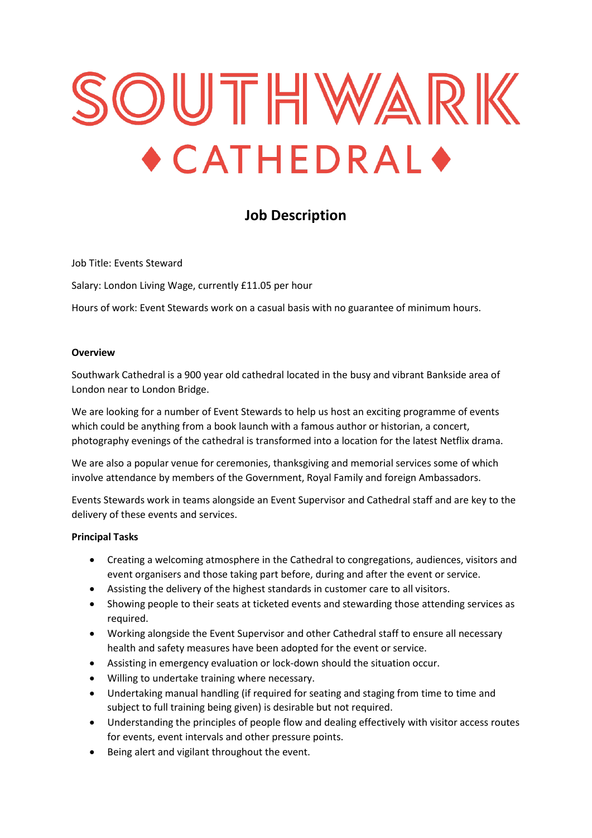# SOUTHWARK  $\triangle$  CATHEDRAL $\triangle$

# **Job Description**

Job Title: Events Steward

Salary: London Living Wage, currently £11.05 per hour

Hours of work: Event Stewards work on a casual basis with no guarantee of minimum hours.

#### **Overview**

Southwark Cathedral is a 900 year old cathedral located in the busy and vibrant Bankside area of London near to London Bridge.

We are looking for a number of Event Stewards to help us host an exciting programme of events which could be anything from a book launch with a famous author or historian, a concert, photography evenings of the cathedral is transformed into a location for the latest Netflix drama.

We are also a popular venue for ceremonies, thanksgiving and memorial services some of which involve attendance by members of the Government, Royal Family and foreign Ambassadors.

Events Stewards work in teams alongside an Event Supervisor and Cathedral staff and are key to the delivery of these events and services.

#### **Principal Tasks**

- Creating a welcoming atmosphere in the Cathedral to congregations, audiences, visitors and event organisers and those taking part before, during and after the event or service.
- Assisting the delivery of the highest standards in customer care to all visitors.
- Showing people to their seats at ticketed events and stewarding those attending services as required.
- Working alongside the Event Supervisor and other Cathedral staff to ensure all necessary health and safety measures have been adopted for the event or service.
- Assisting in emergency evaluation or lock-down should the situation occur.
- Willing to undertake training where necessary.
- Undertaking manual handling (if required for seating and staging from time to time and subject to full training being given) is desirable but not required.
- Understanding the principles of people flow and dealing effectively with visitor access routes for events, event intervals and other pressure points.
- Being alert and vigilant throughout the event.